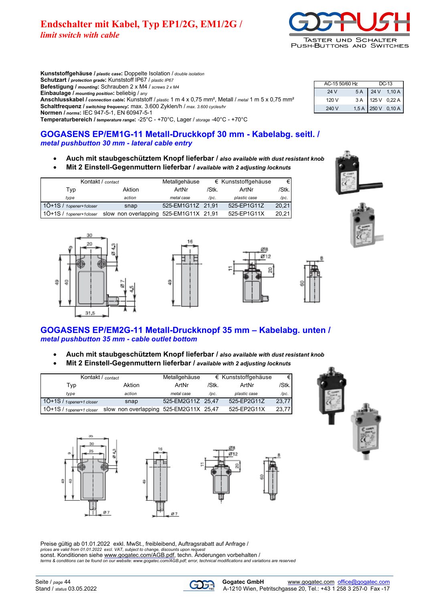# **Endschalter mit Kabel, Typ EP1/2G, EM1/2G /** *limit switch with cable*



**Kunststoffgehäuse /** *plastic case***:** Doppelte Isolation / *double isolation* **Schutzart /** *protection grade***:** Kunststoff IP67 / *plastic IP67* **Befestigung /** *mounting***:** Schrauben 2 x M4 / *screws 2 x M4* **Einbaulage /** *mounting position***:** beliebig / *any* **Anschlusskabel /** *connection cable***:** Kunststoff / *plastic* 1 m 4 x 0,75 mm², Metall / *metal* 1 m 5 x 0,75 mm² **Schaltfrequenz /** *switching frequency***:** max. 3.600 Zyklen/h / *max. 3.600 cycles/hr*

| AC-15 50/60 Hz | $DC-13$ |                                          |
|----------------|---------|------------------------------------------|
| 24 V           |         | 5 A 24 V 1,10 A                          |
| 120 V          |         | $3 A$ 125 V 0,22 A<br>1,5 A 250 V 0,10 A |
| 240 V          |         |                                          |

**Normen /** *norms***:** IEC 947-5-1, EN 60947-5-1 **Temperaturbereich /** *temperature range***:** -25°C - +70°C, Lager / *storage* -40°C - +70°C

**GOGASENS EP/EM1G-11 Metall-Druckkopf 30 mm - Kabelabg. seitl. /** *metal pushbutton 30 mm - lateral cable entry*

- **Auch mit staubgeschütztem Knopf lieferbar /** *also available with dust resistant knob*
- **Mit 2 Einstell-Gegenmuttern lieferbar /** *available with 2 adjusting locknuts*

| Kontakt / contact         |                                        | Metallgehäuse     |       | $\epsilon$ Kunststoffgehäuse | €     |
|---------------------------|----------------------------------------|-------------------|-------|------------------------------|-------|
| Tvp                       | Aktion                                 | ArtNr             | /Stk. | ArtNr                        | /Stk. |
| tvpe                      | action                                 | metal case        | /pc.  | plastic case                 | /pc.  |
| 1Ö+1S / 1 opener+1 closer | snap                                   | 525-EM1G11Z 21,91 |       | 525-EP1G11Z                  | 20.21 |
| $10+1S/1$ opener+1closer  | slow non overlapping 525-EM1G11X 21,91 |                   |       | 525-EP1G11X                  | 20.21 |











## **GOGASENS EP/EM2G-11 Metall-Druckknopf 35 mm – Kabelabg. unten /** *metal pushbutton 35 mm - cable outlet bottom*

- **Auch mit staubgeschütztem Knopf lieferbar /** *also available with dust resistant knob*
- **Mit 2 Einstell-Gegenmuttern lieferbar /** *available with 2 adjusting locknuts*

| Kontakt / contact                              |        | Metallgehäuse     |       | $\epsilon$ Kunststoffgehäuse | €     |
|------------------------------------------------|--------|-------------------|-------|------------------------------|-------|
| Tvp                                            | Aktion | ArtNr             | /Stk. | ArtNr                        | /Stk. |
| tvpe                                           | action | metal case        | /pc.  | plastic case                 | /pc.  |
| 1Ö+1S / 1 opener+1 closer                      | snap   | 525-EM2G11Z 25,47 |       | 525-EP2G11Z                  | 23.77 |
| 1Ö+1S / 1 opener+1 closer slow non overlapping |        | 525-EM2G11X 25,47 |       | 525-EP2G11X                  | 23.77 |







Preise gültig ab 01.01.2022 exkl. MwSt., freibleibend, Auftragsrabatt auf Anfrage / *prices are valid from 01.01.2022 excl. VAT, subject to change, discounts upon request* sonst. Konditionen siehe [www.gogatec.com/AGB.pdf,](www.gogatec.com/AGB.pdf) techn. Änderungen vorbehalten / *terms & conditions can be found on our [website: www.gogatec.com/AGB.pdf; error, technical modificatio](ebsite: www.gogatec.com/AGB.pdf; error, technical modificati)ns and variations are reserved*

α7

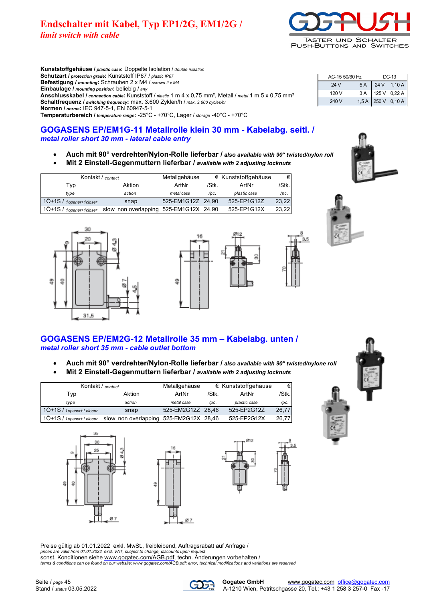# **Endschalter mit Kabel, Typ EP1/2G, EM1/2G /** *limit switch with cable*



**Kunststoffgehäuse /** *plastic case***:** Doppelte Isolation / *double isolation* **Schutzart /** *protection grade***:** Kunststoff IP67 / *plastic IP67* **Befestigung /** *mounting***:** Schrauben 2 x M4 / *screws 2 x M4* **Einbaulage /** *mounting position***:** beliebig / *any* **Anschlusskabel /** *connection cable***:** Kunststoff / *plastic* 1 m 4 x 0,75 mm², Metall / *metal* 1 m 5 x 0,75 mm² **Schaltfrequenz /** *switching frequency***:** max. 3.600 Zyklen/h / *max. 3.600 cycles/hr* **Normen /** *norms***:** IEC 947-5-1, EN 60947-5-1 **Temperaturbereich /** *temperature range***:** -25°C - +70°C, Lager / *storage* -40°C - +70°C

## **GOGASENS EP/EM1G-11 Metallrolle klein 30 mm - Kabelabg. seitl. /** *metal roller short 30 mm - lateral cable entry*

- **Auch mit 90° verdrehter/Nylon-Rolle lieferbar /** *also available with 90° twisted/nylon roll*
- **Mit 2 Einstell-Gegenmuttern lieferbar /** *available with 2 adjusting locknuts*

| Kontakt / contact         |                                        | Metallgehäuse     |       | $\epsilon$ Kunststoffgehäuse | €      |
|---------------------------|----------------------------------------|-------------------|-------|------------------------------|--------|
| Tvp                       | Aktion                                 | ArtNr             | /Stk. | ArtNr                        | /Stk.l |
| tvpe                      | action                                 | metal case        | /pc.  | plastic case                 | /pc.   |
| 1Ö+1S / 1 opener+1 closer | snap                                   | 525-EM1G12Z 24.90 |       | 525-EP1G12Z                  | 23.22  |
| 1Ö+1S / 1opener+1closer   | slow non overlapping 525-EM1G12X 24,90 |                   |       | 525-EP1G12X                  | 23.22  |







24 V 5 A 24 V 1,10 A 120 V 3 A 125 V 0 22 A 240 V 1,5 A 250 V 0,10 A

AC-15 50/60 Hz DC-13



## **GOGASENS EP/EM2G-12 Metallrolle 35 mm – Kabelabg. unten /** *metal roller short 35 mm - cable outlet bottom*

- **Auch mit 90° verdrehter/Nylon-Rolle lieferbar /** *also available with 90° twisted/nylone roll*
- **Mit 2 Einstell-Gegenmuttern lieferbar /** *available with 2 adjusting locknuts*

| Kontakt / contact         |                                        | Metallgehäuse     |       | $\epsilon$ Kunststoffgehäuse | €     |
|---------------------------|----------------------------------------|-------------------|-------|------------------------------|-------|
| Typ                       | Aktion                                 | ArtNr             | /Stk. | ArtNr                        | /Stk. |
| type                      | action                                 | metal case        | /pc.  | plastic case                 | /pc.  |
| 1Ö+1S / 1 opener+1 closer | snap                                   | 525-EM2G12Z 28.46 |       | 525-EP2G12Z                  | 26.77 |
| 1Ö+1S / 1 opener+1 closer | slow non overlapping 525-EM2G12X 28,46 |                   |       | 525-EP2G12X                  | 26.77 |



Preise gültig ab 01.01.2022 exkl. MwSt., freibleibend, Auftragsrabatt auf Anfrage / prices are valid from 01.01.2022 excl. VAT, subject to change, discounts upon request<br>sonst. Konditionen siehe <u>www.gogatec.com/AGB.pdf</u>, techn. Änderungen vorbehalten /<br>terms & conditions can be found on our website: www.

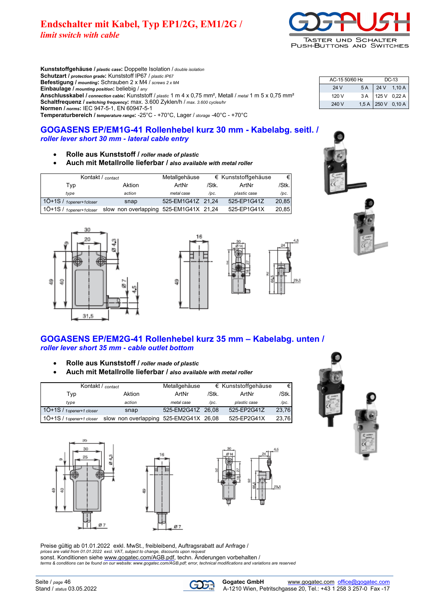# **Endschalter mit Kabel, Typ EP1/2G, EM1/2G /**

*limit switch with cable*



**Kunststoffgehäuse /** *plastic case***:** Doppelte Isolation / *double isolation* **Schutzart /** *protection grade***:** Kunststoff IP67 / *plastic IP67* **Befestigung /** *mounting***:** Schrauben 2 x M4 / *screws 2 x M4* **Einbaulage /** *mounting position***:** beliebig / *any* **Anschlusskabel /** *connection cable***:** Kunststoff / *plastic* 1 m 4 x 0,75 mm², Metall / *metal* 1 m 5 x 0,75 mm² **Schaltfrequenz /** *switching frequency***:** max. 3.600 Zyklen/h / *max. 3.600 cycles/hr* **Normen /** *norms***:** IEC 947-5-1, EN 60947-5-1 **Temperaturbereich /** *temperature range***:** -25°C - +70°C, Lager / *storage* -40°C - +70°C

## **GOGASENS EP/EM1G-41 Rollenhebel kurz 30 mm - Kabelabg. seitl. /** *roller lever short 30 mm - lateral cable entry*

- **Rolle aus Kunststoff /** *roller made of plastic*
- **Auch mit Metallrolle lieferbar /** *also available with metal roller*

| Kontakt / contact         |                                        | Metallgehäuse     |       | $\epsilon$ Kunststoffgehäuse | €     |
|---------------------------|----------------------------------------|-------------------|-------|------------------------------|-------|
| Typ                       | Aktion                                 | ArtNr             | /Stk. | ArtNr                        | /Stk. |
| tvpe                      | action                                 | metal case        | /pc.  | plastic case                 | /pc.  |
| 1Ö+1S / 1 opener+1 closer | snap                                   | 525-EM1G41Z 21.24 |       | 525-EP1G41Z                  | 20,85 |
| 1Ö+1S / 1 opener+1 closer | slow non overlapping 525-EM1G41X 21,24 |                   |       | 525-EP1G41X                  | 20.85 |





## **GOGASENS EP/EM2G-41 Rollenhebel kurz 35 mm – Kabelabg. unten /** *roller lever short 35 mm - cable outlet bottom*

- **Rolle aus Kunststoff /** *roller made of plastic*
- **Auch mit Metallrolle lieferbar /** *also available with metal roller*

| Kontakt / contact           |                                        | Metallgehäuse     |       | $\epsilon$ Kunststoffgehäuse | €Ι    |
|-----------------------------|----------------------------------------|-------------------|-------|------------------------------|-------|
| Tvp                         | Aktion                                 | ArtNr             | /Stk. | ArtNr                        | /Stk. |
| type                        | action                                 | metal case        | /pc.  | plastic case                 | /pc.  |
| 1Ö+1S / 1 opener+1 closer   | snap                                   | 525-EM2G41Z 26,08 |       | 525-EP2G41Z                  | 23,76 |
| $10+1S$ / 1 opener+1 closer | slow non overlapping 525-EM2G41X 26,08 |                   |       | 525-EP2G41X                  | 23,76 |







Preise gültig ab 01.01.2022 exkl. MwSt., freibleibend, Auftragsrabatt auf Anfrage / prices are valid from 01.01.2022 excl. VAT, subject to change, discounts upon request<br>sonst. Konditionen siehe <u>www.gogatec.com/AGB.pdf</u>, techn. Änderungen vorbehalten /<br>terms & conditions can be found on our website: www.



24 V 5 A 24 V 1,10 A 120 V 3 A 125 V 0,22 A

AC-15 50/60 Hz DC-13